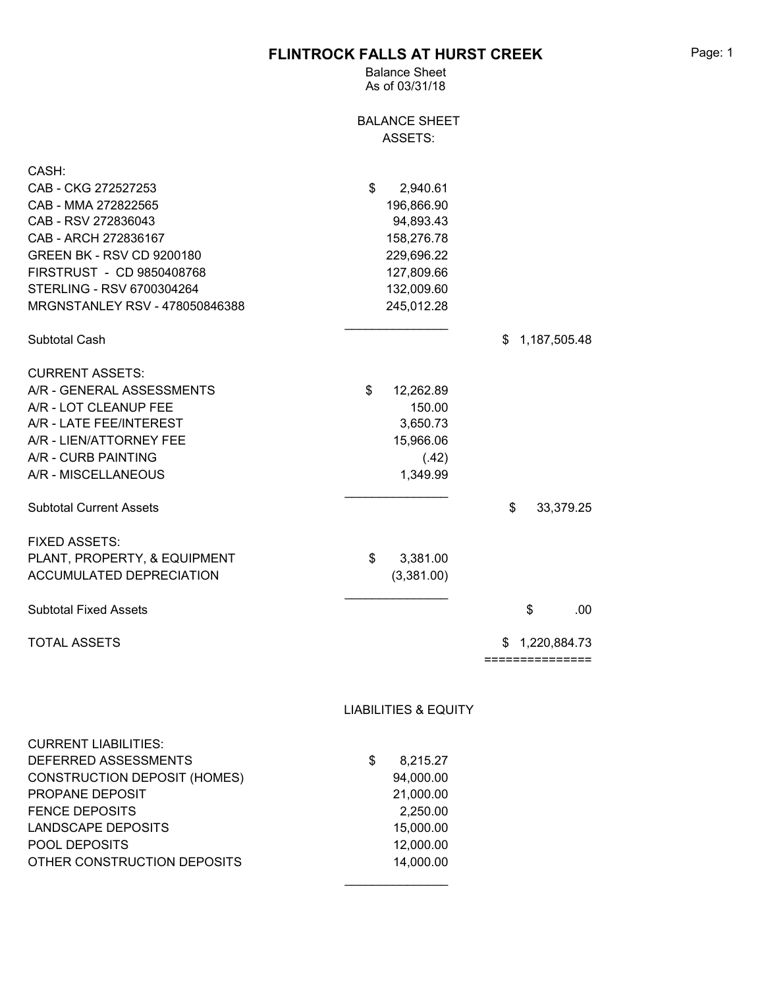## FLINTROCK FALLS AT HURST CREEK Page: 1

Balance Sheet As of 03/31/18

|                                 | <b>BALANCE SHEET</b>         |                     |
|---------------------------------|------------------------------|---------------------|
|                                 | ASSETS:                      |                     |
| CASH:                           |                              |                     |
| CAB - CKG 272527253             |                              |                     |
| CAB - MMA 272822565             | \$<br>2,940.61<br>196,866.90 |                     |
| CAB - RSV 272836043             | 94,893.43                    |                     |
| CAB - ARCH 272836167            | 158,276.78                   |                     |
| GREEN BK - RSV CD 9200180       | 229,696.22                   |                     |
| FIRSTRUST - CD 9850408768       | 127,809.66                   |                     |
| STERLING - RSV 6700304264       | 132,009.60                   |                     |
| MRGNSTANLEY RSV - 478050846388  | 245,012.28                   |                     |
|                                 |                              |                     |
| Subtotal Cash                   |                              | 1,187,505.48<br>\$  |
| <b>CURRENT ASSETS:</b>          |                              |                     |
| A/R - GENERAL ASSESSMENTS       | \$<br>12,262.89              |                     |
| A/R - LOT CLEANUP FEE           | 150.00                       |                     |
| A/R - LATE FEE/INTEREST         | 3,650.73                     |                     |
| A/R - LIEN/ATTORNEY FEE         | 15,966.06                    |                     |
| A/R - CURB PAINTING             | (.42)                        |                     |
| A/R - MISCELLANEOUS             | 1,349.99                     |                     |
| <b>Subtotal Current Assets</b>  |                              | \$<br>33,379.25     |
| <b>FIXED ASSETS:</b>            |                              |                     |
| PLANT, PROPERTY, & EQUIPMENT    | 3,381.00<br>\$               |                     |
| <b>ACCUMULATED DEPRECIATION</b> | (3,381.00)                   |                     |
| <b>Subtotal Fixed Assets</b>    |                              | \$<br>.00           |
| <b>TOTAL ASSETS</b>             |                              | 1,220,884.73<br>SS. |
|                                 |                              | ===============     |

LIABILITIES & EQUITY

| <b>CURRENT LIABILITIES:</b>         |   |           |
|-------------------------------------|---|-----------|
| DEFERRED ASSESSMENTS                | S | 8,215.27  |
| <b>CONSTRUCTION DEPOSIT (HOMES)</b> |   | 94,000.00 |
| PROPANE DEPOSIT                     |   | 21,000.00 |
| <b>FENCE DEPOSITS</b>               |   | 2,250.00  |
| LANDSCAPE DEPOSITS                  |   | 15,000.00 |
| <b>POOL DEPOSITS</b>                |   | 12,000.00 |
| OTHER CONSTRUCTION DEPOSITS         |   | 14,000.00 |
|                                     |   |           |